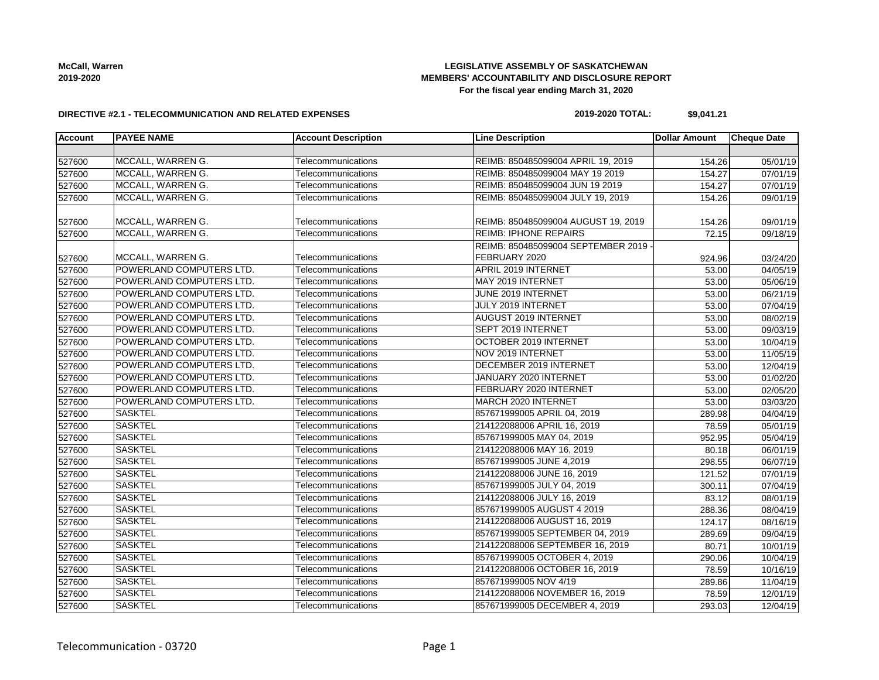# **LEGISLATIVE ASSEMBLY OF SASKATCHEWAN MEMBERS' ACCOUNTABILITY AND DISCLOSURE REPORT For the fiscal year ending March 31, 2020**

#### **DIRECTIVE #2.1 - TELECOMMUNICATION AND RELATED EXPENSES**

#### **2019-2020 TOTAL: \$9,041.21**

| <b>Account</b> | <b>PAYEE NAME</b>        | <b>Account Description</b> | <b>Line Description</b>             | <b>Dollar Amount</b> | <b>Cheque Date</b>    |
|----------------|--------------------------|----------------------------|-------------------------------------|----------------------|-----------------------|
|                |                          |                            |                                     |                      |                       |
| 527600         | MCCALL, WARREN G.        | Telecommunications         | REIMB: 850485099004 APRIL 19, 2019  | 154.26               | 05/01/19              |
| 527600         | MCCALL, WARREN G.        | Telecommunications         | REIMB: 850485099004 MAY 19 2019     | 154.27               | 07/01/19              |
| 527600         | MCCALL, WARREN G.        | Telecommunications         | REIMB: 850485099004 JUN 19 2019     | 154.27               | 07/01/19              |
| 527600         | MCCALL, WARREN G.        | Telecommunications         | REIMB: 850485099004 JULY 19, 2019   | 154.26               | 09/01/19              |
|                |                          |                            |                                     |                      |                       |
| 527600         | MCCALL, WARREN G.        | Telecommunications         | REIMB: 850485099004 AUGUST 19, 2019 | 154.26               | 09/01/19              |
| 527600         | MCCALL, WARREN G.        | Telecommunications         | <b>REIMB: IPHONE REPAIRS</b>        | 72.15                | $\overline{09}/18/19$ |
|                |                          |                            | REIMB: 850485099004 SEPTEMBER 2019  |                      |                       |
| 527600         | MCCALL, WARREN G.        | Telecommunications         | FEBRUARY 2020                       | 924.96               | 03/24/20              |
| 527600         | POWERLAND COMPUTERS LTD. | Telecommunications         | APRIL 2019 INTERNET                 | 53.00                | 04/05/19              |
| 527600         | POWERLAND COMPUTERS LTD. | Telecommunications         | MAY 2019 INTERNET                   | 53.00                | 05/06/19              |
| 527600         | POWERLAND COMPUTERS LTD. | Telecommunications         | JUNE 2019 INTERNET                  | 53.00                | 06/21/19              |
| 527600         | POWERLAND COMPUTERS LTD. | Telecommunications         | JULY 2019 INTERNET                  | 53.00                | 07/04/19              |
| 527600         | POWERLAND COMPUTERS LTD. | Telecommunications         | <b>AUGUST 2019 INTERNET</b>         | 53.00                | 08/02/19              |
| 527600         | POWERLAND COMPUTERS LTD. | Telecommunications         | SEPT 2019 INTERNET                  | 53.00                | 09/03/19              |
| 527600         | POWERLAND COMPUTERS LTD. | Telecommunications         | OCTOBER 2019 INTERNET               | 53.00                | 10/04/19              |
| 527600         | POWERLAND COMPUTERS LTD. | Telecommunications         | NOV 2019 INTERNET                   | 53.00                | 11/05/19              |
| 527600         | POWERLAND COMPUTERS LTD. | Telecommunications         | DECEMBER 2019 INTERNET              | 53.00                | 12/04/19              |
| 527600         | POWERLAND COMPUTERS LTD. | Telecommunications         | JANUARY 2020 INTERNET               | 53.00                | 01/02/20              |
| 527600         | POWERLAND COMPUTERS LTD. | Telecommunications         | FEBRUARY 2020 INTERNET              | 53.00                | 02/05/20              |
| 527600         | POWERLAND COMPUTERS LTD. | Telecommunications         | <b>MARCH 2020 INTERNET</b>          | 53.00                | 03/03/20              |
| 527600         | <b>SASKTEL</b>           | Telecommunications         | 857671999005 APRIL 04, 2019         | 289.98               | 04/04/19              |
| 527600         | <b>SASKTEL</b>           | Telecommunications         | 214122088006 APRIL 16, 2019         | 78.59                | 05/01/19              |
| 527600         | <b>SASKTEL</b>           | Telecommunications         | 857671999005 MAY 04, 2019           | 952.95               | 05/04/19              |
| 527600         | <b>SASKTEL</b>           | Telecommunications         | 214122088006 MAY 16, 2019           | 80.18                | 06/01/19              |
| 527600         | <b>SASKTEL</b>           | Telecommunications         | 857671999005 JUNE 4,2019            | 298.55               | 06/07/19              |
| 527600         | <b>SASKTEL</b>           | Telecommunications         | 214122088006 JUNE 16, 2019          | 121.52               | 07/01/19              |
| 527600         | <b>SASKTEL</b>           | Telecommunications         | 857671999005 JULY 04, 2019          | 300.11               | 07/04/19              |
| 527600         | <b>SASKTEL</b>           | Telecommunications         | 214122088006 JULY 16, 2019          | 83.12                | 08/01/19              |
| 527600         | <b>SASKTEL</b>           | Telecommunications         | 857671999005 AUGUST 4 2019          | 288.36               | 08/04/19              |
| 527600         | <b>SASKTEL</b>           | Telecommunications         | 214122088006 AUGUST 16, 2019        | 124.17               | 08/16/19              |
| 527600         | <b>SASKTEL</b>           | Telecommunications         | 857671999005 SEPTEMBER 04, 2019     | 289.69               | 09/04/19              |
| 527600         | <b>SASKTEL</b>           | Telecommunications         | 214122088006 SEPTEMBER 16, 2019     | 80.71                | 10/01/19              |
| 527600         | <b>SASKTEL</b>           | Telecommunications         | 857671999005 OCTOBER 4, 2019        | 290.06               | 10/04/19              |
| 527600         | <b>SASKTEL</b>           | Telecommunications         | 214122088006 OCTOBER 16, 2019       | 78.59                | 10/16/19              |
| 527600         | <b>SASKTEL</b>           | Telecommunications         | 857671999005 NOV 4/19               | 289.86               | 11/04/19              |
| 527600         | <b>SASKTEL</b>           | Telecommunications         | 214122088006 NOVEMBER 16, 2019      | 78.59                | 12/01/19              |
| 527600         | <b>SASKTEL</b>           | Telecommunications         | 857671999005 DECEMBER 4, 2019       | 293.03               | 12/04/19              |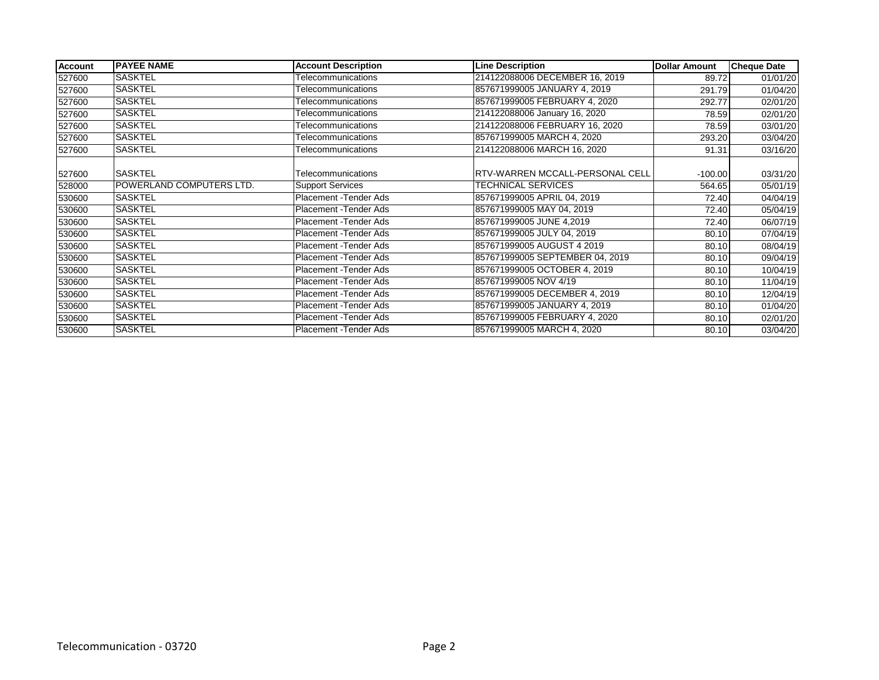| <b>Account</b> | <b>PAYEE NAME</b>        | <b>Account Description</b> | <b>Line Description</b>                | <b>Dollar Amount</b> | <b>Cheque Date</b> |
|----------------|--------------------------|----------------------------|----------------------------------------|----------------------|--------------------|
| 527600         | <b>SASKTEL</b>           | Telecommunications         | 214122088006 DECEMBER 16, 2019         | 89.72                | 01/01/20           |
| 527600         | <b>SASKTEL</b>           | Telecommunications         | 857671999005 JANUARY 4, 2019           | 291.79               | 01/04/20           |
| 527600         | SASKTEL                  | Telecommunications         | 857671999005 FEBRUARY 4, 2020          | 292.77               | 02/01/20           |
| 527600         | <b>SASKTEL</b>           | Telecommunications         | 214122088006 January 16, 2020          | 78.59                | 02/01/20           |
| 527600         | SASKTEL                  | Telecommunications         | 214122088006 FEBRUARY 16, 2020         | 78.59                | 03/01/20           |
| 527600         | SASKTEL                  | Telecommunications         | 857671999005 MARCH 4, 2020             | 293.20               | 03/04/20           |
| 527600         | <b>SASKTEL</b>           | Telecommunications         | 214122088006 MARCH 16, 2020            | 91.31                | 03/16/20           |
|                |                          |                            |                                        |                      |                    |
| 527600         | <b>SASKTEL</b>           | Telecommunications         | <b>RTV-WARREN MCCALL-PERSONAL CELL</b> | $-100.00$            | 03/31/20           |
| 528000         | POWERLAND COMPUTERS LTD. | <b>Support Services</b>    | <b>TECHNICAL SERVICES</b>              | 564.65               | 05/01/19           |
| 530600         | <b>SASKTEL</b>           | Placement - Tender Ads     | 857671999005 APRIL 04, 2019            | 72.40                | 04/04/19           |
| 530600         | <b>SASKTEL</b>           | Placement - Tender Ads     | 857671999005 MAY 04, 2019              | 72.40                | 05/04/19           |
| 530600         | SASKTEL                  | Placement - Tender Ads     | 857671999005 JUNE 4,2019               | 72.40                | 06/07/19           |
| 530600         | <b>SASKTEL</b>           | Placement - Tender Ads     | 857671999005 JULY 04, 2019             | 80.10                | 07/04/19           |
| 530600         | <b>SASKTEL</b>           | Placement - Tender Ads     | 857671999005 AUGUST 4 2019             | 80.10                | 08/04/19           |
| 530600         | <b>SASKTEL</b>           | Placement - Tender Ads     | 857671999005 SEPTEMBER 04, 2019        | 80.10                | 09/04/19           |
| 530600         | <b>SASKTEL</b>           | Placement - Tender Ads     | 857671999005 OCTOBER 4, 2019           | 80.10                | 10/04/19           |
| 530600         | <b>SASKTEL</b>           | Placement - Tender Ads     | 857671999005 NOV 4/19                  | 80.10                | 11/04/19           |
| 530600         | SASKTEL                  | Placement - Tender Ads     | 857671999005 DECEMBER 4, 2019          | 80.10                | 12/04/19           |
| 530600         | <b>SASKTEL</b>           | Placement - Tender Ads     | 857671999005 JANUARY 4, 2019           | 80.10                | 01/04/20           |
| 530600         | SASKTEL                  | Placement - Tender Ads     | 857671999005 FEBRUARY 4, 2020          | 80.10                | 02/01/20           |
| 530600         | <b>SASKTEL</b>           | Placement - Tender Ads     | 857671999005 MARCH 4, 2020             | 80.10                | 03/04/20           |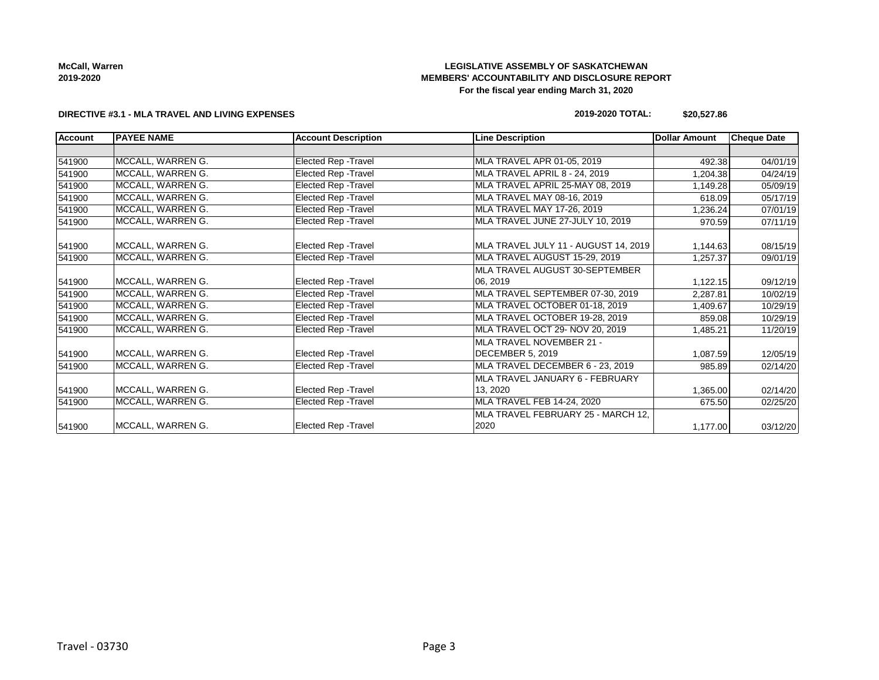# **LEGISLATIVE ASSEMBLY OF SASKATCHEWAN MEMBERS' ACCOUNTABILITY AND DISCLOSURE REPORT For the fiscal year ending March 31, 2020**

#### **DIRECTIVE #3.1 - MLA TRAVEL AND LIVING EXPENSES**

#### **2019-2020 TOTAL: \$20,527.86**

| <b>Account</b> | <b>PAYEE NAME</b> | <b>Account Description</b>  | <b>Line Description</b>              | Dollar Amount | <b>Cheque Date</b> |
|----------------|-------------------|-----------------------------|--------------------------------------|---------------|--------------------|
|                |                   |                             |                                      |               |                    |
| 541900         | MCCALL, WARREN G. | Elected Rep - Travel        | MLA TRAVEL APR 01-05, 2019           | 492.38        | 04/01/19           |
| 541900         | MCCALL, WARREN G. | <b>Elected Rep - Travel</b> | <b>MLA TRAVEL APRIL 8 - 24, 2019</b> | 1,204.38      | 04/24/19           |
| 541900         | MCCALL, WARREN G. | Elected Rep - Travel        | MLA TRAVEL APRIL 25-MAY 08, 2019     | 1,149.28      | 05/09/19           |
| 541900         | MCCALL, WARREN G. | Elected Rep - Travel        | MLA TRAVEL MAY 08-16, 2019           | 618.09        | 05/17/19           |
| 541900         | MCCALL, WARREN G. | <b>Elected Rep - Travel</b> | MLA TRAVEL MAY 17-26, 2019           | 1,236.24      | 07/01/19           |
| 541900         | MCCALL, WARREN G. | <b>Elected Rep - Travel</b> | MLA TRAVEL JUNE 27-JULY 10, 2019     | 970.59        | 07/11/19           |
| 541900         | MCCALL, WARREN G. | Elected Rep - Travel        | MLA TRAVEL JULY 11 - AUGUST 14, 2019 | 1,144.63      | 08/15/19           |
| 541900         | MCCALL, WARREN G. | Elected Rep - Travel        | MLA TRAVEL AUGUST 15-29, 2019        | 1,257.37      | 09/01/19           |
|                |                   |                             | MLA TRAVEL AUGUST 30-SEPTEMBER       |               |                    |
| 541900         | MCCALL, WARREN G. | Elected Rep - Travel        | 06, 2019                             | 1,122.15      | 09/12/19           |
| 541900         | MCCALL, WARREN G. | Elected Rep - Travel        | MLA TRAVEL SEPTEMBER 07-30, 2019     | 2,287.81      | 10/02/19           |
| 541900         | MCCALL, WARREN G. | Elected Rep - Travel        | MLA TRAVEL OCTOBER 01-18, 2019       | 1,409.67      | 10/29/19           |
| 541900         | MCCALL, WARREN G. | Elected Rep - Travel        | MLA TRAVEL OCTOBER 19-28, 2019       | 859.08        | 10/29/19           |
| 541900         | MCCALL, WARREN G. | Elected Rep - Travel        | MLA TRAVEL OCT 29- NOV 20, 2019      | 1,485.21      | 11/20/19           |
|                |                   |                             | MLA TRAVEL NOVEMBER 21 -             |               |                    |
| 541900         | MCCALL, WARREN G. | Elected Rep - Travel        | DECEMBER 5, 2019                     | 1,087.59      | 12/05/19           |
| 541900         | MCCALL, WARREN G. | Elected Rep - Travel        | MLA TRAVEL DECEMBER 6 - 23, 2019     | 985.89        | 02/14/20           |
|                |                   |                             | MLA TRAVEL JANUARY 6 - FEBRUARY      |               |                    |
| 541900         | MCCALL, WARREN G. | Elected Rep - Travel        | 13, 2020                             | 1,365.00      | 02/14/20           |
| 541900         | MCCALL, WARREN G. | Elected Rep - Travel        | MLA TRAVEL FEB 14-24, 2020           | 675.50        | 02/25/20           |
|                |                   |                             | MLA TRAVEL FEBRUARY 25 - MARCH 12,   |               |                    |
| 541900         | MCCALL, WARREN G. | <b>Elected Rep - Travel</b> | 2020                                 | 1,177.00      | 03/12/20           |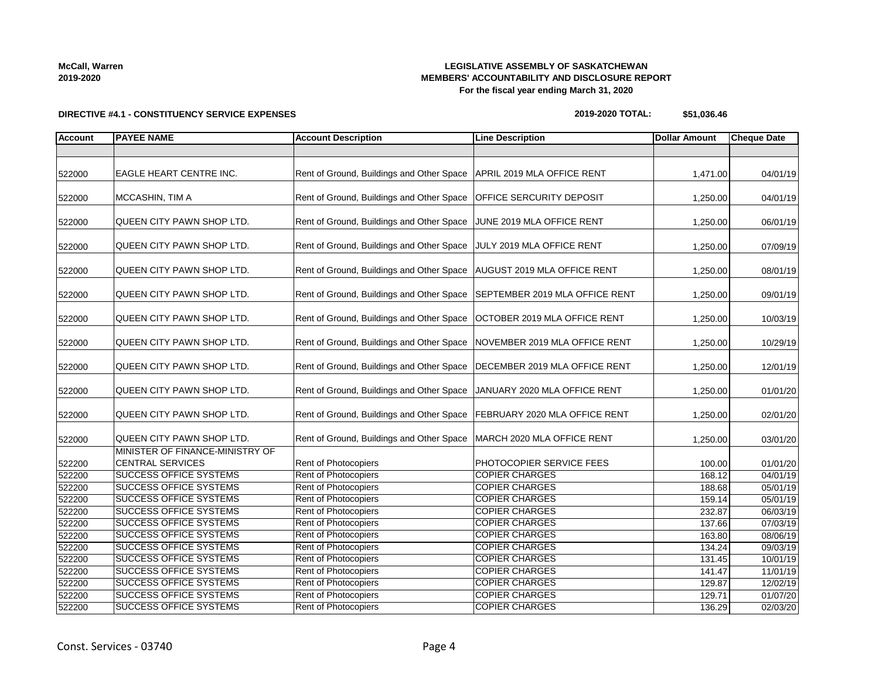# **LEGISLATIVE ASSEMBLY OF SASKATCHEWAN MEMBERS' ACCOUNTABILITY AND DISCLOSURE REPORT For the fiscal year ending March 31, 2020**

**DIRECTIVE #4.1 - CONSTITUENCY SERVICE EXPENSES**

#### **2019-2020 TOTAL: \$51,036.46**

| <b>Account</b>   | <b>PAYEE NAME</b>                                              | <b>Account Description</b>                                                | <b>Line Description</b>                        | <b>Dollar Amount</b> | <b>Cheque Date</b>   |
|------------------|----------------------------------------------------------------|---------------------------------------------------------------------------|------------------------------------------------|----------------------|----------------------|
|                  |                                                                |                                                                           |                                                |                      |                      |
| 522000           | <b>EAGLE HEART CENTRE INC.</b>                                 | Rent of Ground, Buildings and Other Space                                 | APRIL 2019 MLA OFFICE RENT                     | 1,471.00             | 04/01/19             |
| 522000           | MCCASHIN, TIM A                                                | Rent of Ground, Buildings and Other Space                                 | <b>OFFICE SERCURITY DEPOSIT</b>                | 1,250.00             | 04/01/19             |
| 522000           | QUEEN CITY PAWN SHOP LTD.                                      | Rent of Ground, Buildings and Other Space                                 | JUNE 2019 MLA OFFICE RENT                      | 1,250.00             | 06/01/19             |
| 522000           | QUEEN CITY PAWN SHOP LTD.                                      | Rent of Ground, Buildings and Other Space                                 | JULY 2019 MLA OFFICE RENT                      | 1,250.00             | 07/09/19             |
| 522000           | QUEEN CITY PAWN SHOP LTD.                                      | Rent of Ground, Buildings and Other Space   AUGUST 2019 MLA OFFICE RENT   |                                                | 1,250.00             | 08/01/19             |
| 522000           | QUEEN CITY PAWN SHOP LTD.                                      | Rent of Ground, Buildings and Other Space SEPTEMBER 2019 MLA OFFICE RENT  |                                                | 1,250.00             | 09/01/19             |
| 522000           | QUEEN CITY PAWN SHOP LTD.                                      | Rent of Ground, Buildings and Other Space                                 | <b>OCTOBER 2019 MLA OFFICE RENT</b>            | 1,250.00             | 10/03/19             |
| 522000           | QUEEN CITY PAWN SHOP LTD.                                      | Rent of Ground, Buildings and Other Space                                 | NOVEMBER 2019 MLA OFFICE RENT                  | 1,250.00             | 10/29/19             |
| 522000           | QUEEN CITY PAWN SHOP LTD.                                      | Rent of Ground, Buildings and Other Space   DECEMBER 2019 MLA OFFICE RENT |                                                | 1,250.00             | 12/01/19             |
| 522000           | QUEEN CITY PAWN SHOP LTD.                                      | Rent of Ground, Buildings and Other Space                                 | JANUARY 2020 MLA OFFICE RENT                   | 1,250.00             | 01/01/20             |
| 522000           | QUEEN CITY PAWN SHOP LTD.                                      | Rent of Ground, Buildings and Other Space   FEBRUARY 2020 MLA OFFICE RENT |                                                | 1,250.00             | 02/01/20             |
| 522000           | QUEEN CITY PAWN SHOP LTD.                                      | Rent of Ground, Buildings and Other Space   MARCH 2020 MLA OFFICE RENT    |                                                | 1,250.00             | 03/01/20             |
| 522200           | MINISTER OF FINANCE-MINISTRY OF<br><b>CENTRAL SERVICES</b>     | Rent of Photocopiers                                                      | PHOTOCOPIER SERVICE FEES                       | 100.00               | 01/01/20             |
| 522200           | <b>SUCCESS OFFICE SYSTEMS</b>                                  | Rent of Photocopiers                                                      | <b>COPIER CHARGES</b>                          | 168.12               | 04/01/19             |
| 522200           | <b>SUCCESS OFFICE SYSTEMS</b>                                  | Rent of Photocopiers                                                      | <b>COPIER CHARGES</b>                          | 188.68               | 05/01/19             |
| 522200           | <b>SUCCESS OFFICE SYSTEMS</b>                                  | Rent of Photocopiers                                                      | <b>COPIER CHARGES</b>                          | 159.14               | 05/01/19             |
| 522200           | <b>SUCCESS OFFICE SYSTEMS</b>                                  | Rent of Photocopiers                                                      | <b>COPIER CHARGES</b>                          | 232.87               | 06/03/19             |
| 522200           | <b>SUCCESS OFFICE SYSTEMS</b>                                  | Rent of Photocopiers                                                      | <b>COPIER CHARGES</b>                          | 137.66               | 07/03/19             |
| 522200           | <b>SUCCESS OFFICE SYSTEMS</b><br><b>SUCCESS OFFICE SYSTEMS</b> | Rent of Photocopiers<br><b>Rent of Photocopiers</b>                       | <b>COPIER CHARGES</b><br><b>COPIER CHARGES</b> | 163.80               | 08/06/19             |
| 522200           |                                                                |                                                                           | <b>COPIER CHARGES</b>                          | 134.24               | 09/03/19             |
| 522200           | <b>SUCCESS OFFICE SYSTEMS</b><br><b>SUCCESS OFFICE SYSTEMS</b> | Rent of Photocopiers<br>Rent of Photocopiers                              | <b>COPIER CHARGES</b>                          | 131.45               | 10/01/19             |
| 522200           | <b>SUCCESS OFFICE SYSTEMS</b>                                  | Rent of Photocopiers                                                      | <b>COPIER CHARGES</b>                          | 141.47               | 11/01/19<br>12/02/19 |
| 522200<br>522200 | <b>SUCCESS OFFICE SYSTEMS</b>                                  | Rent of Photocopiers                                                      | <b>COPIER CHARGES</b>                          | 129.87<br>129.71     | 01/07/20             |
| 522200           | <b>SUCCESS OFFICE SYSTEMS</b>                                  | Rent of Photocopiers                                                      | <b>COPIER CHARGES</b>                          | 136.29               | 02/03/20             |
|                  |                                                                |                                                                           |                                                |                      |                      |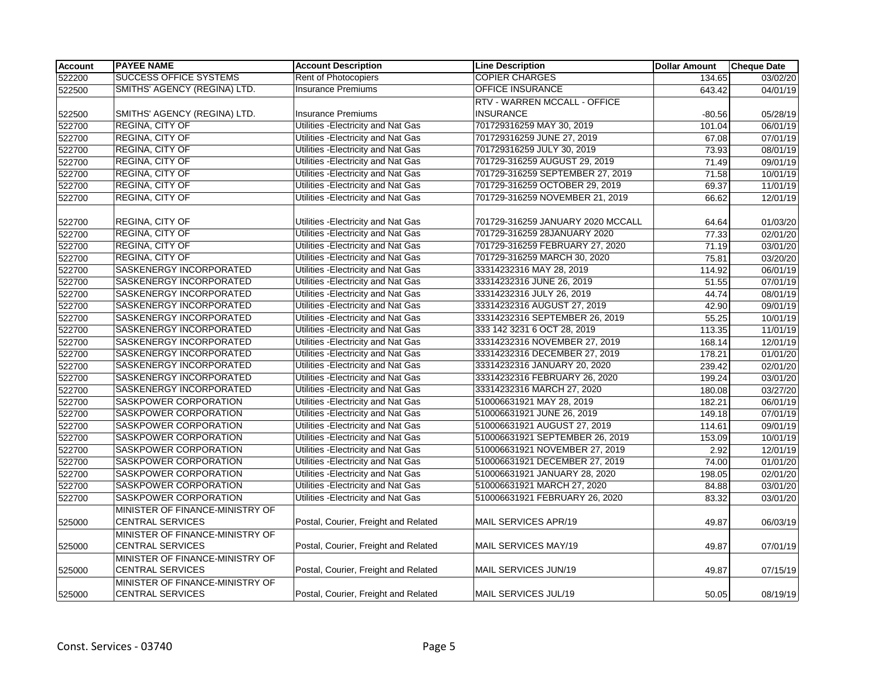| <b>Account</b> | <b>PAYEE NAME</b>               | <b>Account Description</b>           | <b>Line Description</b>           | <b>Dollar Amount</b> | <b>Cheque Date</b>    |
|----------------|---------------------------------|--------------------------------------|-----------------------------------|----------------------|-----------------------|
| 522200         | <b>SUCCESS OFFICE SYSTEMS</b>   | Rent of Photocopiers                 | <b>COPIER CHARGES</b>             | 134.65               | $\overline{03}/02/20$ |
| 522500         | SMITHS' AGENCY (REGINA) LTD.    | <b>Insurance Premiums</b>            | OFFICE INSURANCE                  | 643.42               | 04/01/19              |
|                |                                 |                                      | RTV - WARREN MCCALL - OFFICE      |                      |                       |
| 522500         | SMITHS' AGENCY (REGINA) LTD.    | <b>Insurance Premiums</b>            | <b>INSURANCE</b>                  | $-80.56$             | 05/28/19              |
| 522700         | REGINA, CITY OF                 | Utilities - Electricity and Nat Gas  | 701729316259 MAY 30, 2019         | 101.04               | 06/01/19              |
| 522700         | REGINA, CITY OF                 | Utilities - Electricity and Nat Gas  | 701729316259 JUNE 27, 2019        | 67.08                | 07/01/19              |
| 522700         | <b>REGINA, CITY OF</b>          | Utilities - Electricity and Nat Gas  | 701729316259 JULY 30, 2019        | 73.93                | 08/01/19              |
| 522700         | <b>REGINA, CITY OF</b>          | Utilities - Electricity and Nat Gas  | 701729-316259 AUGUST 29, 2019     | 71.49                | 09/01/19              |
| 522700         | <b>REGINA, CITY OF</b>          | Utilities - Electricity and Nat Gas  | 701729-316259 SEPTEMBER 27, 2019  | 71.58                | 10/01/19              |
| 522700         | REGINA, CITY OF                 | Utilities - Electricity and Nat Gas  | 701729-316259 OCTOBER 29, 2019    | 69.37                | 11/01/19              |
| 522700         | REGINA, CITY OF                 | Utilities - Electricity and Nat Gas  | 701729-316259 NOVEMBER 21, 2019   | 66.62                | 12/01/19              |
|                |                                 |                                      |                                   |                      |                       |
| 522700         | REGINA, CITY OF                 | Utilities - Electricity and Nat Gas  | 701729-316259 JANUARY 2020 MCCALL | 64.64                | 01/03/20              |
| 522700         | REGINA, CITY OF                 | Utilities - Electricity and Nat Gas  | 701729-316259 28JANUARY 2020      | 77.33                | 02/01/20              |
| 522700         | REGINA, CITY OF                 | Utilities - Electricity and Nat Gas  | 701729-316259 FEBRUARY 27, 2020   | 71.19                | 03/01/20              |
| 522700         | <b>REGINA, CITY OF</b>          | Utilities - Electricity and Nat Gas  | 701729-316259 MARCH 30, 2020      | 75.81                | 03/20/20              |
| 522700         | SASKENERGY INCORPORATED         | Utilities - Electricity and Nat Gas  | 33314232316 MAY 28, 2019          | 114.92               | 06/01/19              |
| 522700         | SASKENERGY INCORPORATED         | Utilities - Electricity and Nat Gas  | 33314232316 JUNE 26, 2019         | 51.55                | 07/01/19              |
| 522700         | SASKENERGY INCORPORATED         | Utilities - Electricity and Nat Gas  | 33314232316 JULY 26, 2019         | 44.74                | 08/01/19              |
| 522700         | SASKENERGY INCORPORATED         | Utilities - Electricity and Nat Gas  | 33314232316 AUGUST 27, 2019       | 42.90                | 09/01/19              |
| 522700         | SASKENERGY INCORPORATED         | Utilities - Electricity and Nat Gas  | 33314232316 SEPTEMBER 26, 2019    | 55.25                | 10/01/19              |
| 522700         | SASKENERGY INCORPORATED         | Utilities - Electricity and Nat Gas  | 333 142 3231 6 OCT 28, 2019       | 113.35               | 11/01/19              |
| 522700         | SASKENERGY INCORPORATED         | Utilities - Electricity and Nat Gas  | 33314232316 NOVEMBER 27, 2019     | 168.14               | 12/01/19              |
| 522700         | SASKENERGY INCORPORATED         | Utilities - Electricity and Nat Gas  | 33314232316 DECEMBER 27, 2019     | 178.21               | 01/01/20              |
| 522700         | SASKENERGY INCORPORATED         | Utilities - Electricity and Nat Gas  | 33314232316 JANUARY 20, 2020      | 239.42               | 02/01/20              |
| 522700         | SASKENERGY INCORPORATED         | Utilities - Electricity and Nat Gas  | 33314232316 FEBRUARY 26, 2020     | 199.24               | 03/01/20              |
| 522700         | SASKENERGY INCORPORATED         | Utilities - Electricity and Nat Gas  | 33314232316 MARCH 27, 2020        | 180.08               | 03/27/20              |
| 522700         | SASKPOWER CORPORATION           | Utilities - Electricity and Nat Gas  | 510006631921 MAY 28, 2019         | 182.21               | 06/01/19              |
| 522700         | SASKPOWER CORPORATION           | Utilities - Electricity and Nat Gas  | 510006631921 JUNE 26, 2019        | 149.18               | $\overline{07/01/19}$ |
| 522700         | SASKPOWER CORPORATION           | Utilities - Electricity and Nat Gas  | 510006631921 AUGUST 27, 2019      | 114.61               | 09/01/19              |
| 522700         | SASKPOWER CORPORATION           | Utilities - Electricity and Nat Gas  | 510006631921 SEPTEMBER 26, 2019   | 153.09               | 10/01/19              |
| 522700         | SASKPOWER CORPORATION           | Utilities - Electricity and Nat Gas  | 510006631921 NOVEMBER 27, 2019    | 2.92                 | 12/01/19              |
| 522700         | SASKPOWER CORPORATION           | Utilities - Electricity and Nat Gas  | 510006631921 DECEMBER 27, 2019    | 74.00                | 01/01/20              |
| 522700         | SASKPOWER CORPORATION           | Utilities - Electricity and Nat Gas  | 510006631921 JANUARY 28, 2020     | 198.05               | 02/01/20              |
| 522700         | SASKPOWER CORPORATION           | Utilities - Electricity and Nat Gas  | 510006631921 MARCH 27, 2020       | 84.88                | 03/01/20              |
| 522700         | <b>SASKPOWER CORPORATION</b>    | Utilities - Electricity and Nat Gas  | 510006631921 FEBRUARY 26, 2020    | 83.32                | 03/01/20              |
|                | MINISTER OF FINANCE-MINISTRY OF |                                      |                                   |                      |                       |
| 525000         | <b>CENTRAL SERVICES</b>         | Postal, Courier, Freight and Related | MAIL SERVICES APR/19              | 49.87                | 06/03/19              |
|                | MINISTER OF FINANCE-MINISTRY OF |                                      |                                   |                      |                       |
| 525000         | <b>CENTRAL SERVICES</b>         | Postal, Courier, Freight and Related | MAIL SERVICES MAY/19              | 49.87                | 07/01/19              |
|                | MINISTER OF FINANCE-MINISTRY OF |                                      |                                   |                      |                       |
| 525000         | <b>CENTRAL SERVICES</b>         | Postal, Courier, Freight and Related | MAIL SERVICES JUN/19              | 49.87                | 07/15/19              |
|                | MINISTER OF FINANCE-MINISTRY OF |                                      |                                   |                      |                       |
| 525000         | <b>CENTRAL SERVICES</b>         | Postal, Courier, Freight and Related | MAIL SERVICES JUL/19              | 50.05                | 08/19/19              |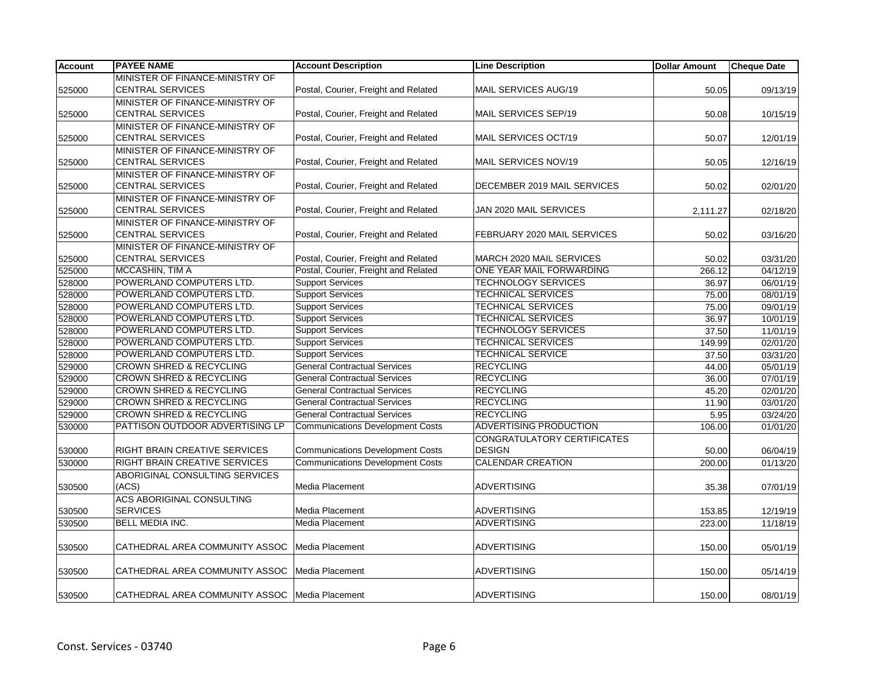| <b>Account</b> | <b>PAYEE NAME</b>                                | <b>Account Description</b>              | <b>Line Description</b>       | <b>Dollar Amount</b> | <b>Cheque Date</b> |
|----------------|--------------------------------------------------|-----------------------------------------|-------------------------------|----------------------|--------------------|
|                | MINISTER OF FINANCE-MINISTRY OF                  |                                         |                               |                      |                    |
| 525000         | <b>CENTRAL SERVICES</b>                          | Postal, Courier, Freight and Related    | MAIL SERVICES AUG/19          | 50.05                | 09/13/19           |
|                | MINISTER OF FINANCE-MINISTRY OF                  |                                         |                               |                      |                    |
| 525000         | <b>CENTRAL SERVICES</b>                          | Postal, Courier, Freight and Related    | MAIL SERVICES SEP/19          | 50.08                | 10/15/19           |
|                | MINISTER OF FINANCE-MINISTRY OF                  |                                         |                               |                      |                    |
| 525000         | <b>CENTRAL SERVICES</b>                          | Postal, Courier, Freight and Related    | MAIL SERVICES OCT/19          | 50.07                | 12/01/19           |
|                | MINISTER OF FINANCE-MINISTRY OF                  |                                         |                               |                      |                    |
| 525000         | <b>CENTRAL SERVICES</b>                          | Postal, Courier, Freight and Related    | MAIL SERVICES NOV/19          | 50.05                | 12/16/19           |
|                | MINISTER OF FINANCE-MINISTRY OF                  |                                         |                               |                      |                    |
| 525000         | <b>CENTRAL SERVICES</b>                          | Postal, Courier, Freight and Related    | DECEMBER 2019 MAIL SERVICES   | 50.02                | 02/01/20           |
|                | MINISTER OF FINANCE-MINISTRY OF                  |                                         |                               |                      |                    |
| 525000         | <b>CENTRAL SERVICES</b>                          | Postal, Courier, Freight and Related    | JAN 2020 MAIL SERVICES        | 2,111.27             | 02/18/20           |
|                | MINISTER OF FINANCE-MINISTRY OF                  |                                         |                               |                      |                    |
| 525000         | <b>CENTRAL SERVICES</b>                          | Postal, Courier, Freight and Related    | FEBRUARY 2020 MAIL SERVICES   | 50.02                | 03/16/20           |
|                | MINISTER OF FINANCE-MINISTRY OF                  |                                         |                               |                      |                    |
| 525000         | <b>CENTRAL SERVICES</b>                          | Postal, Courier, Freight and Related    | MARCH 2020 MAIL SERVICES      | 50.02                | 03/31/20           |
| 525000         | MCCASHIN, TIM A                                  | Postal, Courier, Freight and Related    | ONE YEAR MAIL FORWARDING      | 266.12               | 04/12/19           |
| 528000         | POWERLAND COMPUTERS LTD.                         | <b>Support Services</b>                 | <b>TECHNOLOGY SERVICES</b>    | 36.97                | 06/01/19           |
| 528000         | POWERLAND COMPUTERS LTD.                         | <b>Support Services</b>                 | <b>TECHNICAL SERVICES</b>     | 75.00                | 08/01/19           |
| 528000         | POWERLAND COMPUTERS LTD.                         | <b>Support Services</b>                 | <b>TECHNICAL SERVICES</b>     | 75.00                | 09/01/19           |
| 528000         | POWERLAND COMPUTERS LTD.                         | <b>Support Services</b>                 | <b>TECHNICAL SERVICES</b>     | 36.97                | 10/01/19           |
| 528000         | POWERLAND COMPUTERS LTD.                         | <b>Support Services</b>                 | <b>TECHNOLOGY SERVICES</b>    | 37.50                | 11/01/19           |
| 528000         | POWERLAND COMPUTERS LTD.                         | <b>Support Services</b>                 | <b>TECHNICAL SERVICES</b>     | 149.99               | 02/01/20           |
| 528000         | POWERLAND COMPUTERS LTD.                         | <b>Support Services</b>                 | <b>TECHNICAL SERVICE</b>      | 37.50                | 03/31/20           |
| 529000         | <b>CROWN SHRED &amp; RECYCLING</b>               | <b>General Contractual Services</b>     | <b>RECYCLING</b>              | 44.00                | 05/01/19           |
| 529000         | <b>CROWN SHRED &amp; RECYCLING</b>               | <b>General Contractual Services</b>     | <b>RECYCLING</b>              | 36.00                | 07/01/19           |
| 529000         | <b>CROWN SHRED &amp; RECYCLING</b>               | <b>General Contractual Services</b>     | <b>RECYCLING</b>              | 45.20                | 02/01/20           |
| 529000         | <b>CROWN SHRED &amp; RECYCLING</b>               | <b>General Contractual Services</b>     | <b>RECYCLING</b>              | 11.90                | 03/01/20           |
| 529000         | <b>CROWN SHRED &amp; RECYCLING</b>               | <b>General Contractual Services</b>     | <b>RECYCLING</b>              | 5.95                 | 03/24/20           |
| 530000         | PATTISON OUTDOOR ADVERTISING LP                  | <b>Communications Development Costs</b> | <b>ADVERTISING PRODUCTION</b> | 106.00               | 01/01/20           |
|                |                                                  |                                         | CONGRATULATORY CERTIFICATES   |                      |                    |
| 530000         | RIGHT BRAIN CREATIVE SERVICES                    | <b>Communications Development Costs</b> | <b>DESIGN</b>                 | 50.00                | 06/04/19           |
| 530000         | <b>RIGHT BRAIN CREATIVE SERVICES</b>             | <b>Communications Development Costs</b> | <b>CALENDAR CREATION</b>      | 200.00               | 01/13/20           |
|                | ABORIGINAL CONSULTING SERVICES                   |                                         |                               |                      |                    |
| 530500         | (ACS)                                            | Media Placement                         | ADVERTISING                   | 35.38                | 07/01/19           |
|                | <b>ACS ABORIGINAL CONSULTING</b>                 |                                         |                               |                      |                    |
| 530500         | <b>SERVICES</b>                                  | Media Placement                         | <b>ADVERTISING</b>            | 153.85               | 12/19/19           |
| 530500         | <b>BELL MEDIA INC.</b>                           | Media Placement                         | <b>ADVERTISING</b>            | 223.00               | 11/18/19           |
|                |                                                  |                                         |                               |                      |                    |
| 530500         | CATHEDRAL AREA COMMUNITY ASSOC                   | Media Placement                         | <b>ADVERTISING</b>            | 150.00               | 05/01/19           |
|                |                                                  |                                         |                               |                      |                    |
| 530500         | CATHEDRAL AREA COMMUNITY ASSOC                   | Media Placement                         | <b>ADVERTISING</b>            | 150.00               | 05/14/19           |
|                |                                                  |                                         |                               |                      |                    |
| 530500         | CATHEDRAL AREA COMMUNITY ASSOC   Media Placement |                                         | <b>ADVERTISING</b>            | 150.00               | 08/01/19           |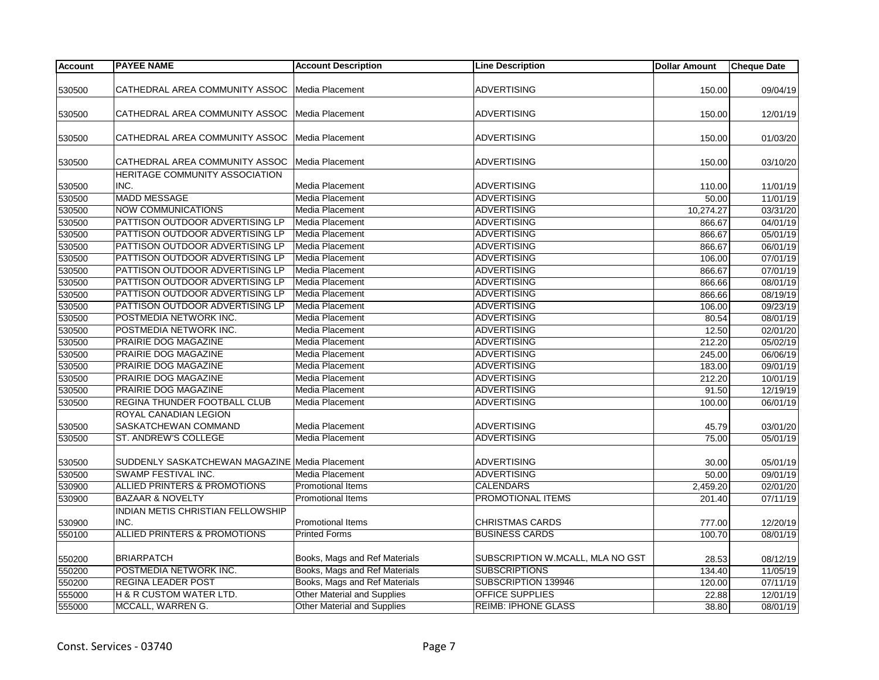| <b>Account</b> | <b>PAYEE NAME</b>                              | <b>Account Description</b>         | <b>Line Description</b>          | <b>Dollar Amount</b> | <b>Cheque Date</b>    |
|----------------|------------------------------------------------|------------------------------------|----------------------------------|----------------------|-----------------------|
|                |                                                |                                    |                                  |                      |                       |
| 530500         | CATHEDRAL AREA COMMUNITY ASSOC                 | Media Placement                    | <b>ADVERTISING</b>               | 150.00               | 09/04/19              |
| 530500         | CATHEDRAL AREA COMMUNITY ASSOC                 | Media Placement                    | <b>ADVERTISING</b>               | 150.00               | 12/01/19              |
|                |                                                |                                    |                                  |                      |                       |
| 530500         | CATHEDRAL AREA COMMUNITY ASSOC                 | Media Placement                    | <b>ADVERTISING</b>               | 150.00               | 01/03/20              |
| 530500         | CATHEDRAL AREA COMMUNITY ASSOC                 | Media Placement                    | <b>ADVERTISING</b>               | 150.00               | 03/10/20              |
|                | HERITAGE COMMUNITY ASSOCIATION                 |                                    |                                  |                      |                       |
| 530500         | INC.                                           | Media Placement                    | <b>ADVERTISING</b>               | 110.00               | 11/01/19              |
| 530500         | MADD MESSAGE                                   | Media Placement                    | <b>ADVERTISING</b>               | 50.00                | 11/01/19              |
| 530500         | <b>NOW COMMUNICATIONS</b>                      | Media Placement                    | <b>ADVERTISING</b>               | 10,274.27            | 03/31/20              |
| 530500         | PATTISON OUTDOOR ADVERTISING LP                | Media Placement                    | <b>ADVERTISING</b>               | 866.67               | 04/01/19              |
| 530500         | PATTISON OUTDOOR ADVERTISING LP                | Media Placement                    | <b>ADVERTISING</b>               | 866.67               | 05/01/19              |
| 530500         | PATTISON OUTDOOR ADVERTISING LP                | Media Placement                    | <b>ADVERTISING</b>               | 866.67               | 06/01/19              |
| 530500         | PATTISON OUTDOOR ADVERTISING LP                | <b>Media Placement</b>             | <b>ADVERTISING</b>               | 106.00               | 07/01/19              |
| 530500         | PATTISON OUTDOOR ADVERTISING LP                | Media Placement                    | <b>ADVERTISING</b>               | 866.67               | 07/01/19              |
| 530500         | PATTISON OUTDOOR ADVERTISING LP                | Media Placement                    | <b>ADVERTISING</b>               | 866.66               | 08/01/19              |
| 530500         | PATTISON OUTDOOR ADVERTISING LP                | Media Placement                    | <b>ADVERTISING</b>               | 866.66               | 08/19/19              |
| 530500         | PATTISON OUTDOOR ADVERTISING LP                | Media Placement                    | <b>ADVERTISING</b>               | 106.00               | 09/23/19              |
| 530500         | POSTMEDIA NETWORK INC.                         | Media Placement                    | <b>ADVERTISING</b>               | 80.54                | 08/01/19              |
| 530500         | POSTMEDIA NETWORK INC.                         | Media Placement                    | <b>ADVERTISING</b>               | 12.50                | 02/01/20              |
| 530500         | PRAIRIE DOG MAGAZINE                           | Media Placement                    | <b>ADVERTISING</b>               | 212.20               | 05/02/19              |
| 530500         | PRAIRIE DOG MAGAZINE                           | Media Placement                    | <b>ADVERTISING</b>               | 245.00               | 06/06/19              |
| 530500         | PRAIRIE DOG MAGAZINE                           | Media Placement                    | <b>ADVERTISING</b>               | 183.00               | 09/01/19              |
| 530500         | PRAIRIE DOG MAGAZINE                           | Media Placement                    | <b>ADVERTISING</b>               | 212.20               | 10/01/19              |
| 530500         | PRAIRIE DOG MAGAZINE                           | Media Placement                    | <b>ADVERTISING</b>               | 91.50                | 12/19/19              |
| 530500         | REGINA THUNDER FOOTBALL CLUB                   | Media Placement                    | <b>ADVERTISING</b>               | 100.00               | 06/01/19              |
|                | ROYAL CANADIAN LEGION                          |                                    |                                  |                      |                       |
| 530500         | SASKATCHEWAN COMMAND                           | Media Placement                    | <b>ADVERTISING</b>               | 45.79                | 03/01/20              |
| 530500         | ST. ANDREW'S COLLEGE                           | Media Placement                    | <b>ADVERTISING</b>               | 75.00                | 05/01/19              |
|                |                                                |                                    |                                  |                      |                       |
| 530500         | SUDDENLY SASKATCHEWAN MAGAZINE Media Placement |                                    | <b>ADVERTISING</b>               | 30.00                | 05/01/19              |
| 530500         | SWAMP FESTIVAL INC.                            | Media Placement                    | <b>ADVERTISING</b>               | 50.00                | 09/01/19              |
| 530900         | ALLIED PRINTERS & PROMOTIONS                   | Promotional Items                  | <b>CALENDARS</b>                 | 2,459.20             | 02/01/20              |
|                | <b>BAZAAR &amp; NOVELTY</b>                    | <b>Promotional Items</b>           | <b>PROMOTIONAL ITEMS</b>         |                      |                       |
| 530900         |                                                |                                    |                                  | 201.40               | 07/11/19              |
|                | INDIAN METIS CHRISTIAN FELLOWSHIP              |                                    |                                  |                      |                       |
| 530900         | INC.                                           | Promotional Items                  | <b>CHRISTMAS CARDS</b>           | 777.00               | 12/20/19              |
| 550100         | ALLIED PRINTERS & PROMOTIONS                   | <b>Printed Forms</b>               | <b>BUSINESS CARDS</b>            | 100.70               | 08/01/19              |
| 550200         | <b>BRIARPATCH</b>                              | Books, Mags and Ref Materials      | SUBSCRIPTION W.MCALL, MLA NO GST | 28.53                | 08/12/19              |
| 550200         | POSTMEDIA NETWORK INC.                         | Books, Mags and Ref Materials      | <b>SUBSCRIPTIONS</b>             | 134.40               | 11/05/19              |
| 550200         | <b>REGINA LEADER POST</b>                      | Books, Mags and Ref Materials      | SUBSCRIPTION 139946              | 120.00               | $\overline{07/11/19}$ |
| 555000         | <b>H &amp; R CUSTOM WATER LTD.</b>             | <b>Other Material and Supplies</b> | <b>OFFICE SUPPLIES</b>           | 22.88                | 12/01/19              |
| 555000         | MCCALL, WARREN G.                              | <b>Other Material and Supplies</b> | <b>REIMB: IPHONE GLASS</b>       | 38.80                | 08/01/19              |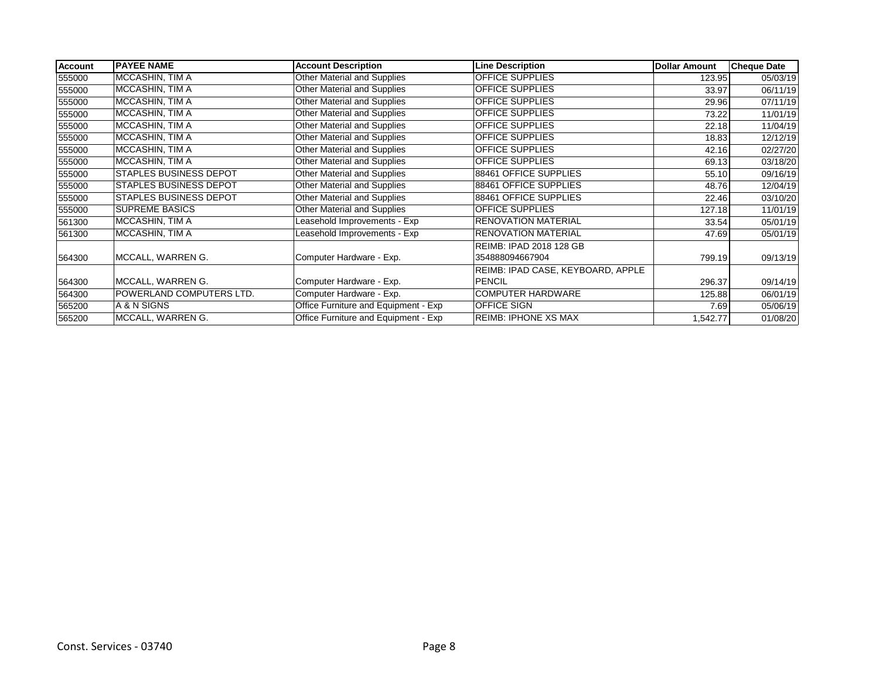| Account | <b>PAYEE NAME</b>             | <b>Account Description</b>           | <b>Line Description</b>           | <b>Dollar Amount</b> | <b>Cheque Date</b> |
|---------|-------------------------------|--------------------------------------|-----------------------------------|----------------------|--------------------|
| 555000  | MCCASHIN, TIM A               | Other Material and Supplies          | <b>OFFICE SUPPLIES</b>            | 123.95               | 05/03/19           |
| 555000  | MCCASHIN, TIM A               | Other Material and Supplies          | OFFICE SUPPLIES                   | 33.97                | 06/11/19           |
| 555000  | MCCASHIN, TIM A               | <b>Other Material and Supplies</b>   | <b>OFFICE SUPPLIES</b>            | 29.96                | 07/11/19           |
| 555000  | MCCASHIN, TIM A               | <b>Other Material and Supplies</b>   | <b>OFFICE SUPPLIES</b>            | 73.22                | 11/01/19           |
| 555000  | MCCASHIN, TIM A               | Other Material and Supplies          | OFFICE SUPPLIES                   | 22.18                | 11/04/19           |
| 555000  | MCCASHIN, TIM A               | Other Material and Supplies          | <b>OFFICE SUPPLIES</b>            | 18.83                | 12/12/19           |
| 555000  | MCCASHIN, TIM A               | Other Material and Supplies          | OFFICE SUPPLIES                   | 42.16                | 02/27/20           |
| 555000  | MCCASHIN, TIM A               | <b>Other Material and Supplies</b>   | <b>OFFICE SUPPLIES</b>            | 69.13                | 03/18/20           |
| 555000  | <b>STAPLES BUSINESS DEPOT</b> | Other Material and Supplies          | 88461 OFFICE SUPPLIES             | 55.10                | 09/16/19           |
| 555000  | <b>STAPLES BUSINESS DEPOT</b> | Other Material and Supplies          | 88461 OFFICE SUPPLIES             | 48.76                | 12/04/19           |
| 555000  | <b>STAPLES BUSINESS DEPOT</b> | Other Material and Supplies          | 88461 OFFICE SUPPLIES             | 22.46                | 03/10/20           |
| 555000  | <b>SUPREME BASICS</b>         | Other Material and Supplies          | OFFICE SUPPLIES                   | 127.18               | 11/01/19           |
| 561300  | MCCASHIN, TIM A               | Leasehold Improvements - Exp         | <b>RENOVATION MATERIAL</b>        | 33.54                | 05/01/19           |
| 561300  | MCCASHIN, TIM A               | Leasehold Improvements - Exp         | <b>RENOVATION MATERIAL</b>        | 47.69                | 05/01/19           |
|         |                               |                                      | REIMB: IPAD 2018 128 GB           |                      |                    |
| 564300  | MCCALL, WARREN G.             | Computer Hardware - Exp.             | 354888094667904                   | 799.19               | 09/13/19           |
|         |                               |                                      | REIMB: IPAD CASE, KEYBOARD, APPLE |                      |                    |
| 564300  | MCCALL, WARREN G.             | Computer Hardware - Exp.             | <b>PENCIL</b>                     | 296.37               | 09/14/19           |
| 564300  | POWERLAND COMPUTERS LTD.      | Computer Hardware - Exp.             | <b>COMPUTER HARDWARE</b>          | 125.88               | 06/01/19           |
| 565200  | A & N SIGNS                   | Office Furniture and Equipment - Exp | OFFICE SIGN                       | 7.69                 | 05/06/19           |
| 565200  | MCCALL, WARREN G.             | Office Furniture and Equipment - Exp | <b>REIMB: IPHONE XS MAX</b>       | 1,542.77             | 01/08/20           |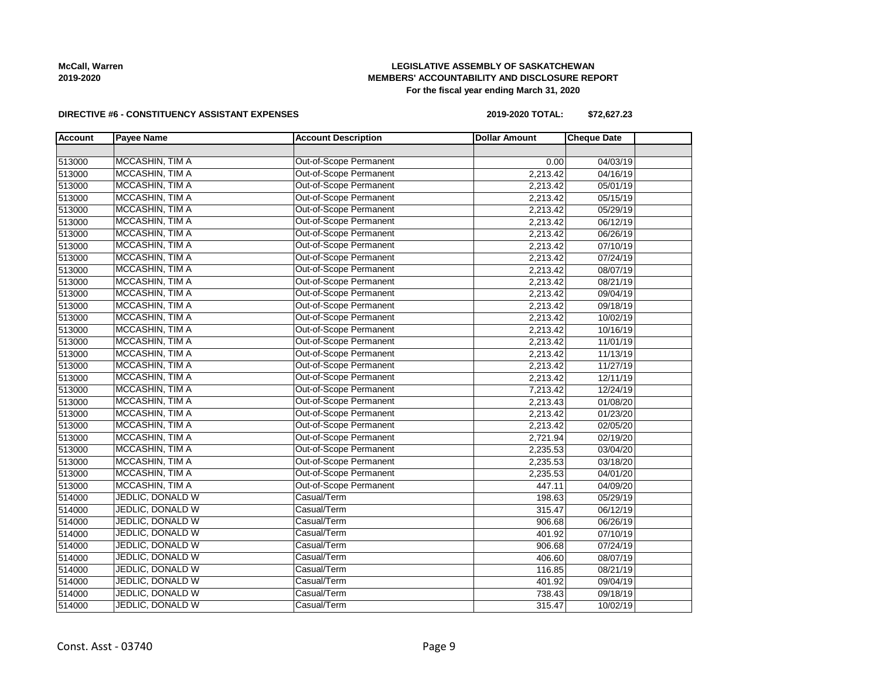# **LEGISLATIVE ASSEMBLY OF SASKATCHEWAN MEMBERS' ACCOUNTABILITY AND DISCLOSURE REPORT For the fiscal year ending March 31, 2020**

#### **DIRECTIVE #6 - CONSTITUENCY ASSISTANT EXPENSES**

**2019-2020 TOTAL: \$72,627.23**

| <b>Account</b> | <b>Payee Name</b>       | <b>Account Description</b>    | <b>Dollar Amount</b> | <b>Cheque Date</b> |  |
|----------------|-------------------------|-------------------------------|----------------------|--------------------|--|
|                |                         |                               |                      |                    |  |
| 513000         | MCCASHIN, TIM A         | Out-of-Scope Permanent        | 0.00                 | 04/03/19           |  |
| 513000         | MCCASHIN, TIM A         | Out-of-Scope Permanent        | 2,213.42             | 04/16/19           |  |
| 513000         | MCCASHIN, TIM A         | Out-of-Scope Permanent        | 2,213.42             | 05/01/19           |  |
| 513000         | MCCASHIN, TIM A         | Out-of-Scope Permanent        | 2,213.42             | 05/15/19           |  |
| 513000         | MCCASHIN, TIM A         | Out-of-Scope Permanent        | 2,213.42             | 05/29/19           |  |
| 513000         | MCCASHIN, TIM A         | Out-of-Scope Permanent        | 2,213.42             | 06/12/19           |  |
| 513000         | MCCASHIN, TIM A         | Out-of-Scope Permanent        | 2,213.42             | 06/26/19           |  |
| 513000         | MCCASHIN, TIM A         | Out-of-Scope Permanent        | 2,213.42             | 07/10/19           |  |
| 513000         | MCCASHIN, TIM A         | Out-of-Scope Permanent        | 2,213.42             | 07/24/19           |  |
| 513000         | MCCASHIN, TIM A         | <b>Out-of-Scope Permanent</b> | 2,213.42             | 08/07/19           |  |
| 513000         | MCCASHIN, TIM A         | Out-of-Scope Permanent        | 2,213.42             | 08/21/19           |  |
| 513000         | MCCASHIN, TIM A         | Out-of-Scope Permanent        | 2,213.42             | 09/04/19           |  |
| 513000         | MCCASHIN, TIM A         | Out-of-Scope Permanent        | 2,213.42             | 09/18/19           |  |
| 513000         | MCCASHIN, TIM A         | Out-of-Scope Permanent        | 2,213.42             | 10/02/19           |  |
| 513000         | MCCASHIN, TIM A         | Out-of-Scope Permanent        | 2,213.42             | 10/16/19           |  |
| 513000         | MCCASHIN, TIM A         | Out-of-Scope Permanent        | 2,213.42             | 11/01/19           |  |
| 513000         | MCCASHIN, TIM A         | Out-of-Scope Permanent        | 2,213.42             | 11/13/19           |  |
| 513000         | MCCASHIN, TIM A         | Out-of-Scope Permanent        | 2,213.42             | 11/27/19           |  |
| 513000         | MCCASHIN, TIM A         | Out-of-Scope Permanent        | 2,213.42             | 12/11/19           |  |
| 513000         | MCCASHIN, TIM A         | Out-of-Scope Permanent        | 7,213.42             | 12/24/19           |  |
| 513000         | MCCASHIN, TIM A         | Out-of-Scope Permanent        | 2,213.43             | 01/08/20           |  |
| 513000         | MCCASHIN, TIM A         | Out-of-Scope Permanent        | 2,213.42             | 01/23/20           |  |
| 513000         | MCCASHIN, TIM A         | Out-of-Scope Permanent        | 2,213.42             | 02/05/20           |  |
| 513000         | MCCASHIN, TIM A         | Out-of-Scope Permanent        | 2,721.94             | 02/19/20           |  |
| 513000         | MCCASHIN, TIM A         | <b>Out-of-Scope Permanent</b> | 2,235.53             | 03/04/20           |  |
| 513000         | MCCASHIN, TIM A         | Out-of-Scope Permanent        | 2,235.53             | 03/18/20           |  |
| 513000         | MCCASHIN, TIM A         | <b>Out-of-Scope Permanent</b> | 2,235.53             | 04/01/20           |  |
| 513000         | MCCASHIN, TIM A         | Out-of-Scope Permanent        | 447.11               | 04/09/20           |  |
| 514000         | JEDLIC, DONALD W        | Casual/Term                   | 198.63               | 05/29/19           |  |
| 514000         | JEDLIC, DONALD W        | Casual/Term                   | 315.47               | 06/12/19           |  |
| 514000         | JEDLIC, DONALD W        | Casual/Term                   | 906.68               | 06/26/19           |  |
| 514000         | <b>JEDLIC, DONALD W</b> | Casual/Term                   | 401.92               | 07/10/19           |  |
| 514000         | JEDLIC, DONALD W        | Casual/Term                   | 906.68               | 07/24/19           |  |
| 514000         | JEDLIC, DONALD W        | Casual/Term                   | 406.60               | 08/07/19           |  |
| 514000         | JEDLIC, DONALD W        | Casual/Term                   | 116.85               | 08/21/19           |  |
| 514000         | <b>JEDLIC, DONALD W</b> | Casual/Term                   | 401.92               | 09/04/19           |  |
| 514000         | JEDLIC, DONALD W        | Casual/Term                   | 738.43               | 09/18/19           |  |
| 514000         | <b>JEDLIC, DONALD W</b> | Casual/Term                   | 315.47               | 10/02/19           |  |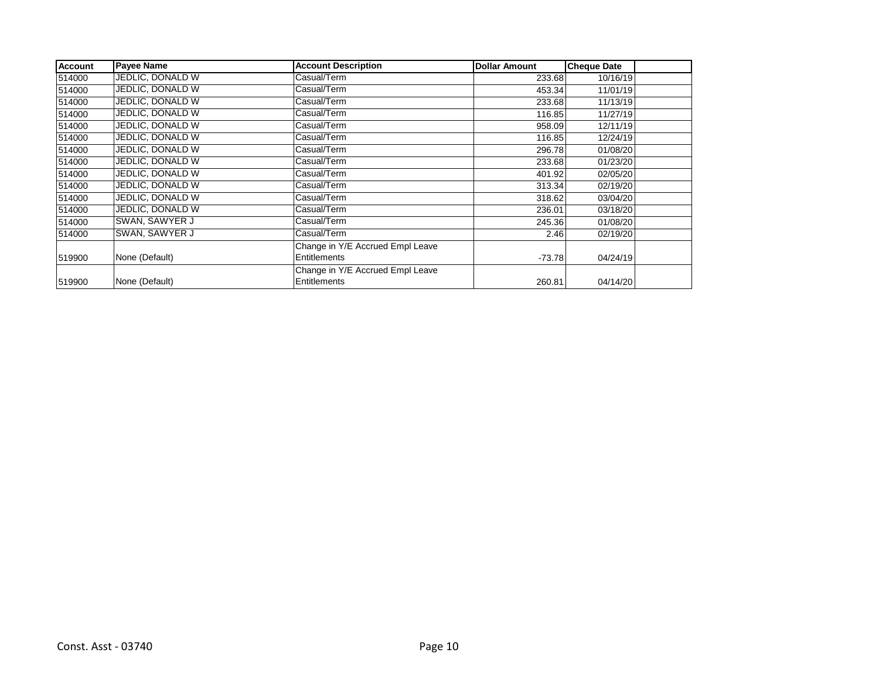| <b>Account</b> | <b>Payee Name</b> | <b>Account Description</b>       | <b>Dollar Amount</b> | <b>Cheque Date</b> |  |
|----------------|-------------------|----------------------------------|----------------------|--------------------|--|
| 514000         | JEDLIC, DONALD W  | Casual/Term                      | 233.68               | 10/16/19           |  |
| 514000         | JEDLIC, DONALD W  | Casual/Term                      | 453.34               | 11/01/19           |  |
| 514000         | JEDLIC, DONALD W  | Casual/Term                      | 233.68               | 11/13/19           |  |
| 514000         | JEDLIC, DONALD W  | Casual/Term                      | 116.85               | 11/27/19           |  |
| 514000         | JEDLIC, DONALD W  | Casual/Term                      | 958.09               | 12/11/19           |  |
| 514000         | JEDLIC, DONALD W  | Casual/Term                      | 116.85               | 12/24/19           |  |
| 514000         | JEDLIC, DONALD W  | Casual/Term                      | 296.78               | 01/08/20           |  |
| 514000         | JEDLIC, DONALD W  | Casual/Term                      | 233.68               | 01/23/20           |  |
| 514000         | JEDLIC, DONALD W  | Casual/Term                      | 401.92               | 02/05/20           |  |
| 514000         | JEDLIC, DONALD W  | Casual/Term                      | 313.34               | 02/19/20           |  |
| 514000         | JEDLIC, DONALD W  | Casual/Term                      | 318.62               | 03/04/20           |  |
| 514000         | JEDLIC, DONALD W  | Casual/Term                      | 236.01               | 03/18/20           |  |
| 514000         | SWAN, SAWYER J    | Casual/Term                      | 245.36               | 01/08/20           |  |
| 514000         | SWAN, SAWYER J    | Casual/Term                      | 2.46                 | 02/19/20           |  |
|                |                   | Change in Y/E Accrued Empl Leave |                      |                    |  |
| 519900         | None (Default)    | Entitlements                     | $-73.78$             | 04/24/19           |  |
|                |                   | Change in Y/E Accrued Empl Leave |                      |                    |  |
| 519900         | None (Default)    | Entitlements                     | 260.81               | 04/14/20           |  |